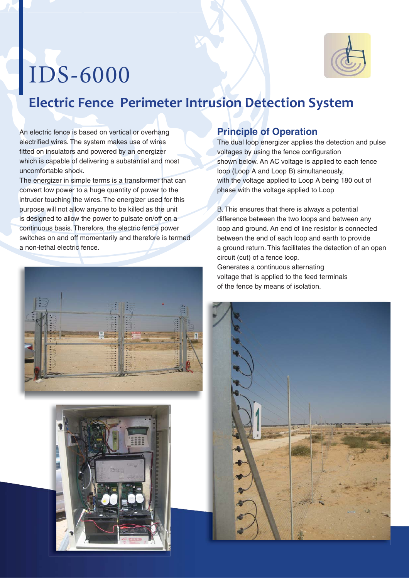

# IDS-6000

## **Electric Fence Perimeter Intrusion Detection System**

An electric fence is based on vertical or overhang electrified wires. The system makes use of wires fitted on insulators and powered by an energizer which is capable of delivering a substantial and most uncomfortable shock.

The energizer in simple terms is a transformer that can convert low power to a huge quantity of power to the intruder touching the wires. The energizer used for this purpose will not allow anyone to be killed as the unit is designed to allow the power to pulsate on/off on a continuous basis. Therefore, the electric fence power switches on and off momentarily and therefore is termed a non-lethal electric fence.





#### **Principle of Operation**

The dual loop energizer applies the detection and pulse voltages by using the fence configuration shown below. An AC voltage is applied to each fence loop (Loop A and Loop B) simultaneously, with the voltage applied to Loop A being 180 out of phase with the voltage applied to Loop

B. This ensures that there is always a potential difference between the two loops and between any loop and ground. An end of line resistor is connected between the end of each loop and earth to provide a ground return. This facilitates the detection of an open circuit (cut) of a fence loop. Generates a continuous alternating voltage that is applied to the feed terminals of the fence by means of isolation.